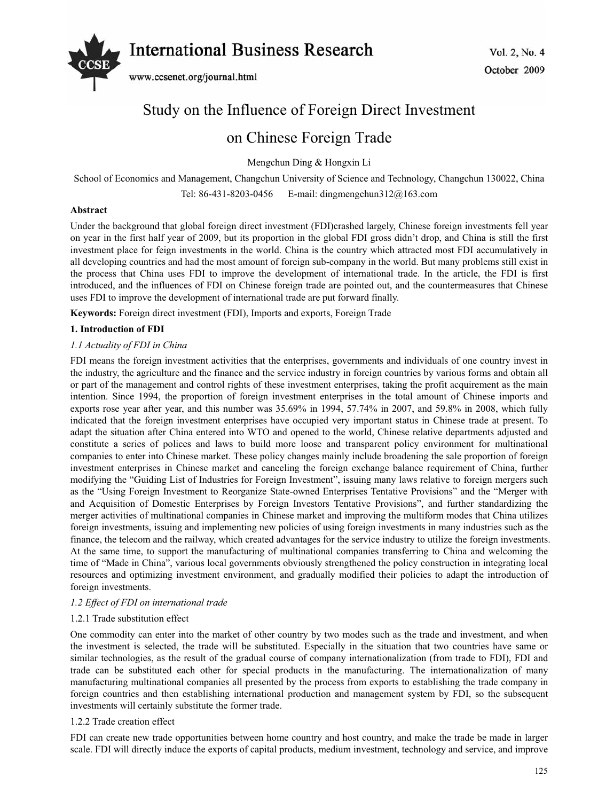**International Business Research**  $\text{Vol. 2, No. 4}$ 



www.ccsenet.org/journal.html

# Study on the Influence of Foreign Direct Investment

# on Chinese Foreign Trade

Mengchun Ding & Hongxin Li

School of Economics and Management, Changchun University of Science and Technology, Changchun 130022, China Tel: 86-431-8203-0456 E-mail: dingmengchun312@163.com

# **Abstract**

Under the background that global foreign direct investment (FDI)crashed largely, Chinese foreign investments fell year on year in the first half year of 2009, but its proportion in the global FDI gross didn't drop, and China is still the first investment place for feign investments in the world. China is the country which attracted most FDI accumulatively in all developing countries and had the most amount of foreign sub-company in the world. But many problems still exist in the process that China uses FDI to improve the development of international trade. In the article, the FDI is first introduced, and the influences of FDI on Chinese foreign trade are pointed out, and the countermeasures that Chinese uses FDI to improve the development of international trade are put forward finally.

**Keywords:** Foreign direct investment (FDI), Imports and exports, Foreign Trade

# **1. Introduction of FDI**

# *1.1 Actuality of FDI in China*

FDI means the foreign investment activities that the enterprises, governments and individuals of one country invest in the industry, the agriculture and the finance and the service industry in foreign countries by various forms and obtain all or part of the management and control rights of these investment enterprises, taking the profit acquirement as the main intention. Since 1994, the proportion of foreign investment enterprises in the total amount of Chinese imports and exports rose year after year, and this number was 35.69% in 1994, 57.74% in 2007, and 59.8% in 2008, which fully indicated that the foreign investment enterprises have occupied very important status in Chinese trade at present. To adapt the situation after China entered into WTO and opened to the world, Chinese relative departments adjusted and constitute a series of polices and laws to build more loose and transparent policy environment for multinational companies to enter into Chinese market. These policy changes mainly include broadening the sale proportion of foreign investment enterprises in Chinese market and canceling the foreign exchange balance requirement of China, further modifying the "Guiding List of Industries for Foreign Investment", issuing many laws relative to foreign mergers such as the "Using Foreign Investment to Reorganize State-owned Enterprises Tentative Provisions" and the "Merger with and Acquisition of Domestic Enterprises by Foreign Investors Tentative Provisions", and further standardizing the merger activities of multinational companies in Chinese market and improving the multiform modes that China utilizes foreign investments, issuing and implementing new policies of using foreign investments in many industries such as the finance, the telecom and the railway, which created advantages for the service industry to utilize the foreign investments. At the same time, to support the manufacturing of multinational companies transferring to China and welcoming the time of "Made in China", various local governments obviously strengthened the policy construction in integrating local resources and optimizing investment environment, and gradually modified their policies to adapt the introduction of foreign investments.

# *1.2 Effect of FDI on international trade*

# 1.2.1 Trade substitution effect

One commodity can enter into the market of other country by two modes such as the trade and investment, and when the investment is selected, the trade will be substituted. Especially in the situation that two countries have same or similar technologies, as the result of the gradual course of company internationalization (from trade to FDI), FDI and trade can be substituted each other for special products in the manufacturing. The internationalization of many manufacturing multinational companies all presented by the process from exports to establishing the trade company in foreign countries and then establishing international production and management system by FDI, so the subsequent investments will certainly substitute the former trade.

# 1.2.2 Trade creation effect

FDI can create new trade opportunities between home country and host country, and make the trade be made in larger scale. FDI will directly induce the exports of capital products, medium investment, technology and service, and improve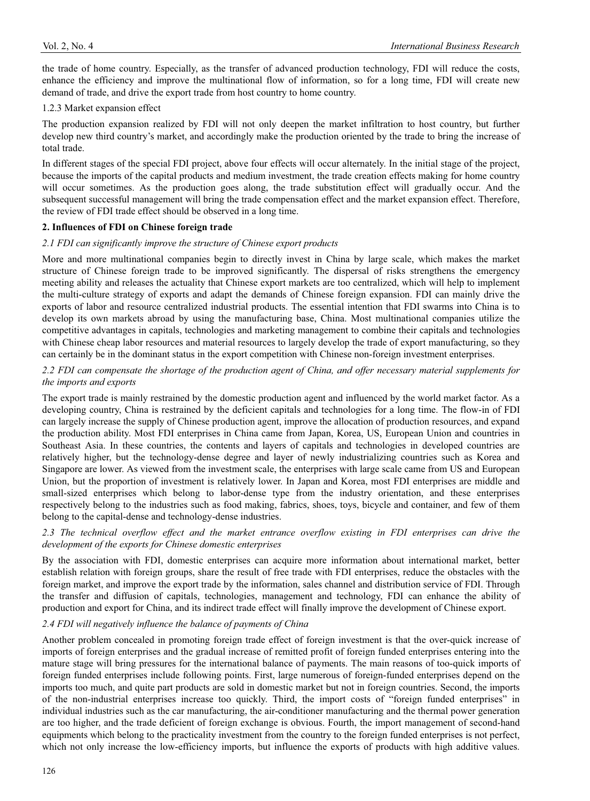the trade of home country. Especially, as the transfer of advanced production technology, FDI will reduce the costs, enhance the efficiency and improve the multinational flow of information, so for a long time, FDI will create new demand of trade, and drive the export trade from host country to home country.

## 1.2.3 Market expansion effect

The production expansion realized by FDI will not only deepen the market infiltration to host country, but further develop new third country's market, and accordingly make the production oriented by the trade to bring the increase of total trade.

In different stages of the special FDI project, above four effects will occur alternately. In the initial stage of the project, because the imports of the capital products and medium investment, the trade creation effects making for home country will occur sometimes. As the production goes along, the trade substitution effect will gradually occur. And the subsequent successful management will bring the trade compensation effect and the market expansion effect. Therefore, the review of FDI trade effect should be observed in a long time.

## **2. Influences of FDI on Chinese foreign trade**

## *2.1 FDI can significantly improve the structure of Chinese export products*

More and more multinational companies begin to directly invest in China by large scale, which makes the market structure of Chinese foreign trade to be improved significantly. The dispersal of risks strengthens the emergency meeting ability and releases the actuality that Chinese export markets are too centralized, which will help to implement the multi-culture strategy of exports and adapt the demands of Chinese foreign expansion. FDI can mainly drive the exports of labor and resource centralized industrial products. The essential intention that FDI swarms into China is to develop its own markets abroad by using the manufacturing base, China. Most multinational companies utilize the competitive advantages in capitals, technologies and marketing management to combine their capitals and technologies with Chinese cheap labor resources and material resources to largely develop the trade of export manufacturing, so they can certainly be in the dominant status in the export competition with Chinese non-foreign investment enterprises.

# *2.2 FDI can compensate the shortage of the production agent of China, and offer necessary material supplements for the imports and exports*

The export trade is mainly restrained by the domestic production agent and influenced by the world market factor. As a developing country, China is restrained by the deficient capitals and technologies for a long time. The flow-in of FDI can largely increase the supply of Chinese production agent, improve the allocation of production resources, and expand the production ability. Most FDI enterprises in China came from Japan, Korea, US, European Union and countries in Southeast Asia. In these countries, the contents and layers of capitals and technologies in developed countries are relatively higher, but the technology-dense degree and layer of newly industrializing countries such as Korea and Singapore are lower. As viewed from the investment scale, the enterprises with large scale came from US and European Union, but the proportion of investment is relatively lower. In Japan and Korea, most FDI enterprises are middle and small-sized enterprises which belong to labor-dense type from the industry orientation, and these enterprises respectively belong to the industries such as food making, fabrics, shoes, toys, bicycle and container, and few of them belong to the capital-dense and technology-dense industries.

# *2.3 The technical overflow effect and the market entrance overflow existing in FDI enterprises can drive the development of the exports for Chinese domestic enterprises*

By the association with FDI, domestic enterprises can acquire more information about international market, better establish relation with foreign groups, share the result of free trade with FDI enterprises, reduce the obstacles with the foreign market, and improve the export trade by the information, sales channel and distribution service of FDI. Through the transfer and diffusion of capitals, technologies, management and technology, FDI can enhance the ability of production and export for China, and its indirect trade effect will finally improve the development of Chinese export.

# *2.4 FDI will negatively influence the balance of payments of China*

Another problem concealed in promoting foreign trade effect of foreign investment is that the over-quick increase of imports of foreign enterprises and the gradual increase of remitted profit of foreign funded enterprises entering into the mature stage will bring pressures for the international balance of payments. The main reasons of too-quick imports of foreign funded enterprises include following points. First, large numerous of foreign-funded enterprises depend on the imports too much, and quite part products are sold in domestic market but not in foreign countries. Second, the imports of the non-industrial enterprises increase too quickly. Third, the import costs of "foreign funded enterprises" in individual industries such as the car manufacturing, the air-conditioner manufacturing and the thermal power generation are too higher, and the trade deficient of foreign exchange is obvious. Fourth, the import management of second-hand equipments which belong to the practicality investment from the country to the foreign funded enterprises is not perfect, which not only increase the low-efficiency imports, but influence the exports of products with high additive values.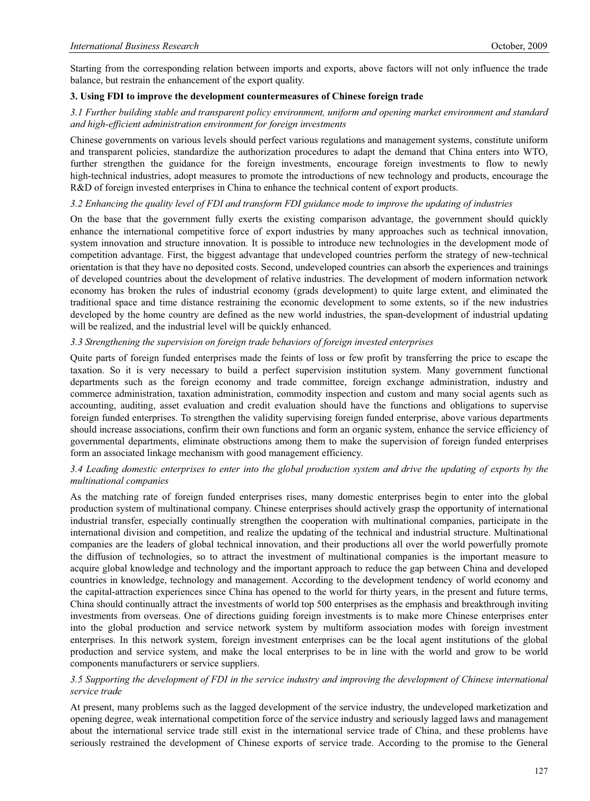Starting from the corresponding relation between imports and exports, above factors will not only influence the trade balance, but restrain the enhancement of the export quality.

#### **3. Using FDI to improve the development countermeasures of Chinese foreign trade**

## *3.1 Further building stable and transparent policy environment, uniform and opening market environment and standard and high-efficient administration environment for foreign investments*

Chinese governments on various levels should perfect various regulations and management systems, constitute uniform and transparent policies, standardize the authorization procedures to adapt the demand that China enters into WTO, further strengthen the guidance for the foreign investments, encourage foreign investments to flow to newly high-technical industries, adopt measures to promote the introductions of new technology and products, encourage the R&D of foreign invested enterprises in China to enhance the technical content of export products.

#### *3.2 Enhancing the quality level of FDI and transform FDI guidance mode to improve the updating of industries*

On the base that the government fully exerts the existing comparison advantage, the government should quickly enhance the international competitive force of export industries by many approaches such as technical innovation, system innovation and structure innovation. It is possible to introduce new technologies in the development mode of competition advantage. First, the biggest advantage that undeveloped countries perform the strategy of new-technical orientation is that they have no deposited costs. Second, undeveloped countries can absorb the experiences and trainings of developed countries about the development of relative industries. The development of modern information network economy has broken the rules of industrial economy (grads development) to quite large extent, and eliminated the traditional space and time distance restraining the economic development to some extents, so if the new industries developed by the home country are defined as the new world industries, the span-development of industrial updating will be realized, and the industrial level will be quickly enhanced.

## *3.3 Strengthening the supervision on foreign trade behaviors of foreign invested enterprises*

Quite parts of foreign funded enterprises made the feints of loss or few profit by transferring the price to escape the taxation. So it is very necessary to build a perfect supervision institution system. Many government functional departments such as the foreign economy and trade committee, foreign exchange administration, industry and commerce administration, taxation administration, commodity inspection and custom and many social agents such as accounting, auditing, asset evaluation and credit evaluation should have the functions and obligations to supervise foreign funded enterprises. To strengthen the validity supervising foreign funded enterprise, above various departments should increase associations, confirm their own functions and form an organic system, enhance the service efficiency of governmental departments, eliminate obstructions among them to make the supervision of foreign funded enterprises form an associated linkage mechanism with good management efficiency.

## *3.4 Leading domestic enterprises to enter into the global production system and drive the updating of exports by the multinational companies*

As the matching rate of foreign funded enterprises rises, many domestic enterprises begin to enter into the global production system of multinational company. Chinese enterprises should actively grasp the opportunity of international industrial transfer, especially continually strengthen the cooperation with multinational companies, participate in the international division and competition, and realize the updating of the technical and industrial structure. Multinational companies are the leaders of global technical innovation, and their productions all over the world powerfully promote the diffusion of technologies, so to attract the investment of multinational companies is the important measure to acquire global knowledge and technology and the important approach to reduce the gap between China and developed countries in knowledge, technology and management. According to the development tendency of world economy and the capital-attraction experiences since China has opened to the world for thirty years, in the present and future terms, China should continually attract the investments of world top 500 enterprises as the emphasis and breakthrough inviting investments from overseas. One of directions guiding foreign investments is to make more Chinese enterprises enter into the global production and service network system by multiform association modes with foreign investment enterprises. In this network system, foreign investment enterprises can be the local agent institutions of the global production and service system, and make the local enterprises to be in line with the world and grow to be world components manufacturers or service suppliers.

## *3.5 Supporting the development of FDI in the service industry and improving the development of Chinese international service trade*

At present, many problems such as the lagged development of the service industry, the undeveloped marketization and opening degree, weak international competition force of the service industry and seriously lagged laws and management about the international service trade still exist in the international service trade of China, and these problems have seriously restrained the development of Chinese exports of service trade. According to the promise to the General